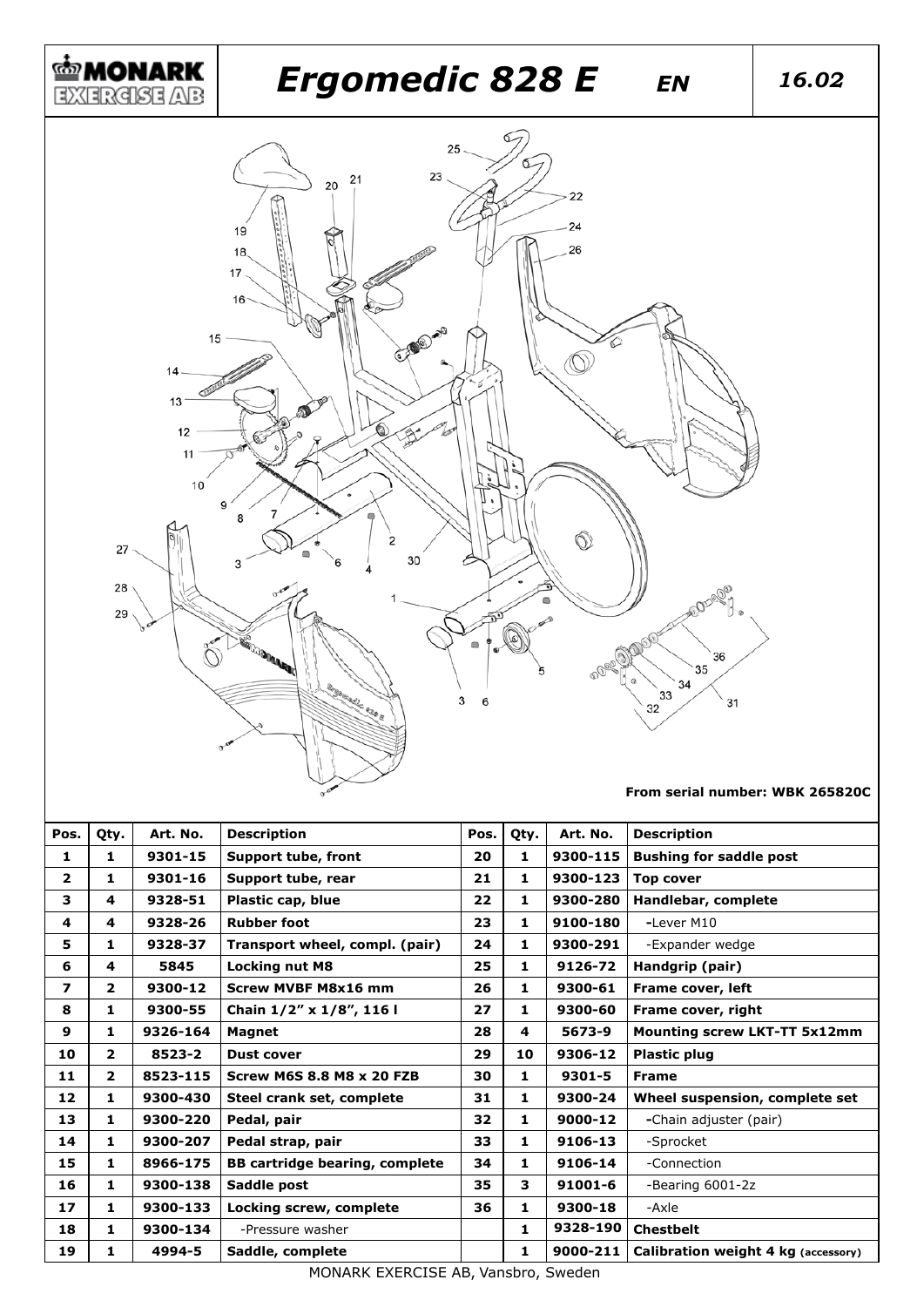

| Pos.         | Qty.           | Art. No. | <b>Description</b>                    | Pos. | Qty.                    | Art. No. | <b>Description</b>                  |
|--------------|----------------|----------|---------------------------------------|------|-------------------------|----------|-------------------------------------|
| 1            | 1              | 9301-15  | Support tube, front                   | 20   | 1                       | 9300-115 | <b>Bushing for saddle post</b>      |
| $\mathbf{z}$ | 1              | 9301-16  | Support tube, rear                    | 21   | 1                       | 9300-123 | <b>Top cover</b>                    |
| 3            | 4              | 9328-51  | Plastic cap, blue                     | 22   | 1                       | 9300-280 | Handlebar, complete                 |
| 4            | 4              | 9328-26  | <b>Rubber foot</b>                    | 23   | 1                       | 9100-180 | -Lever M10                          |
| 5            | 1              | 9328-37  | Transport wheel, compl. (pair)        | 24   | 1                       | 9300-291 | -Expander wedge                     |
| 6            | 4              | 5845     | <b>Locking nut M8</b>                 | 25   | 1                       | 9126-72  | Handgrip (pair)                     |
| 7            | $\overline{2}$ | 9300-12  | <b>Screw MVBF M8x16 mm</b>            | 26   | 1                       | 9300-61  | Frame cover, left                   |
| 8            | 1              | 9300-55  | Chain 1/2" x 1/8", 116 l              | 27   | 1                       | 9300-60  | Frame cover, right                  |
| 9            | 1              | 9326-164 | <b>Magnet</b>                         | 28   | $\overline{\mathbf{4}}$ | 5673-9   | <b>Mounting screw LKT-TT 5x12mm</b> |
| 10           | $\overline{2}$ | 8523-2   | <b>Dust cover</b>                     | 29   | 10                      | 9306-12  | <b>Plastic plug</b>                 |
| 11           | $\overline{2}$ | 8523-115 | <b>Screw M6S 8.8 M8 x 20 FZB</b>      | 30   | 1                       | 9301-5   | <b>Frame</b>                        |
| 12           | 1              | 9300-430 | Steel crank set, complete             | 31   | 1                       | 9300-24  | Wheel suspension, complete set      |
| 13           | 1              | 9300-220 | Pedal, pair                           | 32   | 1                       | 9000-12  | -Chain adjuster (pair)              |
| 14           | 1              | 9300-207 | Pedal strap, pair                     | 33   | 1                       | 9106-13  | -Sprocket                           |
| 15           | 1              | 8966-175 | <b>BB cartridge bearing, complete</b> | 34   | 1                       | 9106-14  | -Connection                         |
| 16           | 1              | 9300-138 | Saddle post                           | 35   | з                       | 91001-6  | -Bearing 6001-2z                    |
| 17           | 1              | 9300-133 | Locking screw, complete               | 36   | 1                       | 9300-18  | -Axle                               |
| 18           | 1              | 9300-134 | -Pressure washer                      |      | 1                       | 9328-190 | <b>Chestbelt</b>                    |
| 19           | 1              | 4994-5   | Saddle, complete                      |      | 1                       | 9000-211 | Calibration weight 4 kg (accessory) |

MONARK EXERCISE AB, Vansbro, Sweden